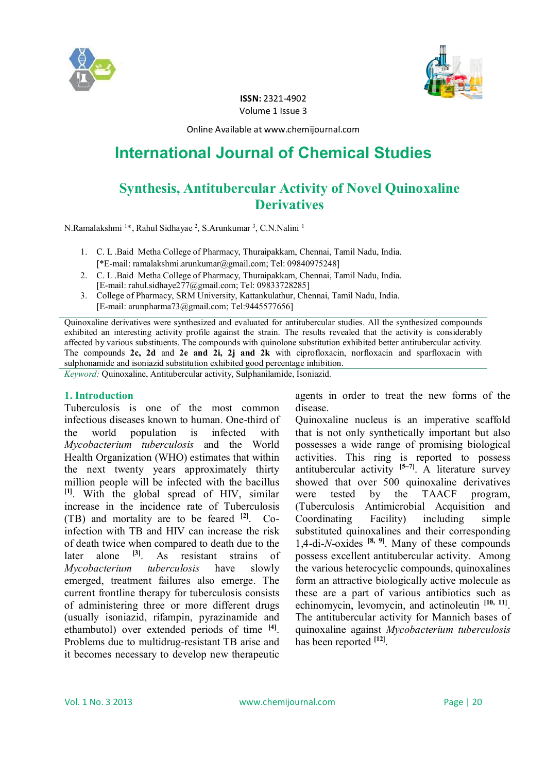



**ISSN:** 2321-4902 Volume 1 Issue 3

Online Available at www.chemijournal.com

# **International Journal of Chemical Studies**

## **Synthesis, Antitubercular Activity of Novel Quinoxaline Derivatives**

N.Ramalakshmi <sup>1\*</sup>, Rahul Sidhayae<sup>2</sup>, S.Arunkumar<sup>3</sup>, C.N.Nalini <sup>1</sup>

- 1. C. L .Baid Metha College of Pharmacy, Thuraipakkam, Chennai, Tamil Nadu, India. [\*E-mail: ramalakshmi.arunkumar@gmail.com; Tel: 09840975248]
- 2. C. L .Baid Metha College of Pharmacy, Thuraipakkam, Chennai, Tamil Nadu, India. [E-mail: rahul.sidhaye277@gmail.com; Tel: 09833728285]
- 3. College of Pharmacy, SRM University, Kattankulathur, Chennai, Tamil Nadu, India. [E-mail: arunpharma73@gmail.com; Tel:9445577656]

Quinoxaline derivatives were synthesized and evaluated for antitubercular studies. All the synthesized compounds exhibited an interesting activity profile against the strain. The results revealed that the activity is considerably affected by various substituents. The compounds with quinolone substitution exhibited better antitubercular activity. The compounds **2c, 2d** and **2e and 2i, 2j and 2k** with ciprofloxacin, norfloxacin and sparfloxacin with sulphonamide and isoniazid substitution exhibited good percentage inhibition.

*Keyword:* Quinoxaline, Antitubercular activity, Sulphanilamide, Isoniazid.

#### **1. Introduction**

Tuberculosis is one of the most common infectious diseases known to human. One-third of the world population is infected with *Mycobacterium tuberculosis* and the World Health Organization (WHO) estimates that within the next twenty years approximately thirty million people will be infected with the bacillus **[1]**. With the global spread of HIV, similar increase in the incidence rate of Tuberculosis (TB) and mortality are to be feared **[2]** . Coinfection with TB and HIV can increase the risk of death twice when compared to death due to the later alone <sup>[3]</sup>. As resistant strains of *Mycobacterium tuberculosis* have slowly emerged, treatment failures also emerge. The current frontline therapy for tuberculosis consists of administering three or more different drugs (usually isoniazid, rifampin, pyrazinamide and ethambutol) over extended periods of time **[4]** . Problems due to multidrug-resistant TB arise and it becomes necessary to develop new therapeutic

agents in order to treat the new forms of the disease.

Quinoxaline nucleus is an imperative scaffold that is not only synthetically important but also possesses a wide range of promising biological activities. This ring is reported to possess antitubercular activity **[5–7]** . A literature survey showed that over 500 quinoxaline derivatives were tested by the TAACF program, (Tuberculosis Antimicrobial Acquisition and Coordinating Facility) including simple substituted quinoxalines and their corresponding 1,4-di-*N*-oxides **[8, 9]** . Many of these compounds possess excellent antitubercular activity. Among the various heterocyclic compounds, quinoxalines form an attractive biologically active molecule as these are a part of various antibiotics such as echinomycin, levomycin, and actinoleutin <sup>[10, 11]</sup>. The antitubercular activity for Mannich bases of quinoxaline against *Mycobacterium tuberculosis* has been reported **[12]** .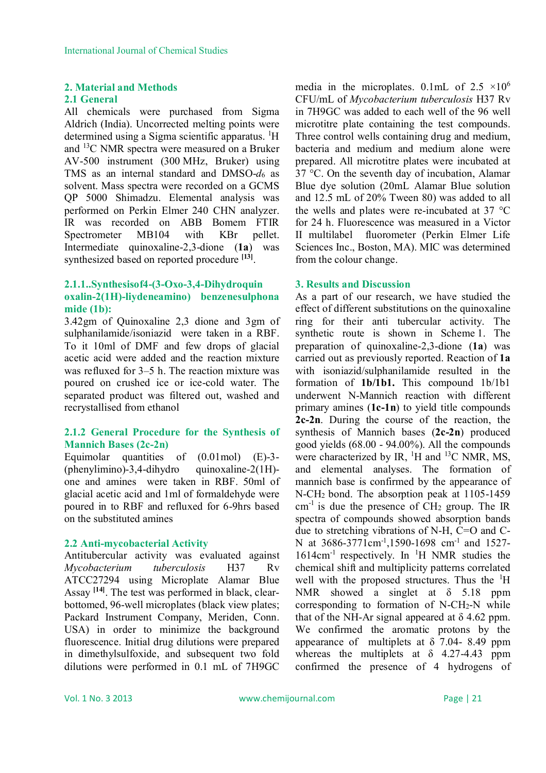#### **2. Material and Methods**

#### **2.1 General**

All chemicals were purchased from Sigma Aldrich (India). Uncorrected melting points were determined using a Sigma scientific apparatus.  ${}^{1}H$ and <sup>13</sup>C NMR spectra were measured on a Bruker AV-500 instrument (300 MHz, Bruker) using TMS as an internal standard and DMSO-*d*<sup>6</sup> as solvent. Mass spectra were recorded on a GCMS QP 5000 Shimadzu. Elemental analysis was performed on Perkin Elmer 240 CHN analyzer. IR was recorded on ABB Bomem FTIR Spectrometer MB104 with KBr pellet. Intermediate quinoxaline-2,3-dione (**1a**) was synthesized based on reported procedure **[13]** .

### **2.1.1..Synthesisof4-(3-Oxo-3,4-Dihydroquin oxalin-2(1H)-liydeneamino) benzenesulphona mide (1b):**

3.42gm of Quinoxaline 2,3 dione and 3gm of sulphanilamide/isoniazid were taken in a RBF. To it 10ml of DMF and few drops of glacial acetic acid were added and the reaction mixture was refluxed for 3–5 h. The reaction mixture was poured on crushed ice or ice-cold water. The separated product was filtered out, washed and recrystallised from ethanol

#### **2.1.2 General Procedure for the Synthesis of Mannich Bases (2c-2n)**

Equimolar quantities of (0.01mol) (E)-3-  $(phenylimino)-3,4-dihydro$  quinoxaline-2(1H)one and amines were taken in RBF. 50ml of glacial acetic acid and 1ml of formaldehyde were poured in to RBF and refluxed for 6-9hrs based on the substituted amines

#### **2.2 Anti-mycobacterial Activity**

Antitubercular activity was evaluated against *Mycobacterium tuberculosis* H37 Rv ATCC27294 using Microplate Alamar Blue Assay **[14]** . The test was performed in black, clearbottomed, 96-well microplates (black view plates; Packard Instrument Company, Meriden, Conn. USA) in order to minimize the background fluorescence. Initial drug dilutions were prepared in dimethylsulfoxide, and subsequent two fold dilutions were performed in 0.1 mL of 7H9GC

media in the microplates. 0.1mL of  $2.5 \times 10^6$ CFU/mL of *Mycobacterium tuberculosis* H37 Rv in 7H9GC was added to each well of the 96 well microtitre plate containing the test compounds. Three control wells containing drug and medium, bacteria and medium and medium alone were prepared. All microtitre plates were incubated at 37 °C. On the seventh day of incubation, Alamar Blue dye solution (20mL Alamar Blue solution and 12.5 mL of 20% Tween 80) was added to all the wells and plates were re-incubated at 37 °C for 24 h. Fluorescence was measured in a Victor II multilabel fluorometer (Perkin Elmer Life Sciences Inc., Boston, MA). MIC was determined from the colour change.

#### **3. Results and Discussion**

As a part of our research, we have studied the effect of different substitutions on the quinoxaline ring for their anti tubercular activity. The synthetic route is shown in Scheme 1. The preparation of quinoxaline-2,3-dione (**1a**) was carried out as previously reported. Reaction of **1a**  with isoniazid/sulphanilamide resulted in the formation of **1b/1b1.** This compound 1b/1b1 underwent N-Mannich reaction with different primary amines (**1c-1n**) to yield title compounds **2c-2n**. During the course of the reaction, the synthesis of Mannich bases (**2c-2n**) produced good yields (68.00 - 94.00%). All the compounds were characterized by IR,  $^{1}$ H and  $^{13}$ C NMR, MS, and elemental analyses. The formation of mannich base is confirmed by the appearance of N-CH2 bond. The absorption peak at 1105-1459  $cm<sup>-1</sup>$  is due the presence of CH<sub>2</sub> group. The IR spectra of compounds showed absorption bands due to stretching vibrations of N-H, C=O and C-N at 3686-3771cm<sup>-1</sup>,1590-1698 cm<sup>-1</sup> and 1527-1614cm-1 respectively. In <sup>1</sup>H NMR studies the chemical shift and multiplicity patterns correlated well with the proposed structures. Thus the  ${}^{1}H$ NMR showed a singlet at δ 5.18 ppm corresponding to formation of  $N$ -CH<sub>2</sub>-N while that of the NH-Ar signal appeared at  $\delta$  4.62 ppm. We confirmed the aromatic protons by the appearance of multiplets at δ 7.04- 8.49 ppm whereas the multiplets at  $\delta$  4.27-4.43 ppm confirmed the presence of 4 hydrogens of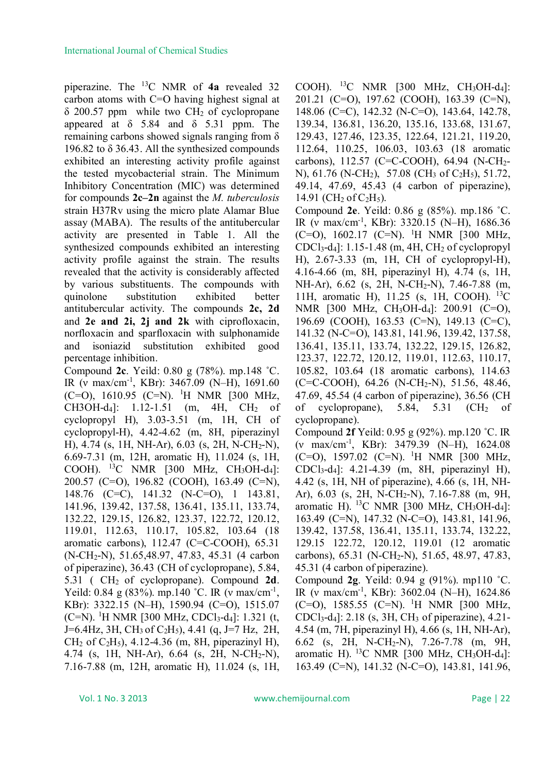piperazine. The <sup>13</sup>C NMR of **4a** revealed 32 carbon atoms with C=O having highest signal at  $\delta$  200.57 ppm while two CH<sub>2</sub> of cyclopropane appeared at  $\delta$  5.84 and  $\delta$  5.31 ppm. The remaining carbons showed signals ranging from δ 196.82 to  $\delta$  36.43. All the synthesized compounds exhibited an interesting activity profile against the tested mycobacterial strain. The Minimum Inhibitory Concentration (MIC) was determined for compounds **2c–2n** against the *M. tuberculosis* strain H37Rv using the micro plate Alamar Blue assay (MABA). The results of the antitubercular activity are presented in Table 1. All the synthesized compounds exhibited an interesting activity profile against the strain. The results revealed that the activity is considerably affected by various substituents. The compounds with quinolone substitution exhibited better antitubercular activity. The compounds **2c, 2d**  and **2e and 2i, 2j and 2k** with ciprofloxacin, norfloxacin and sparfloxacin with sulphonamide and isoniazid substitution exhibited good percentage inhibition.

Compound **2c**. Yeild: 0.80 g (78%). mp.148 ˚C. IR (v max/cm<sup>-1</sup>, KBr): 3467.09 (N-H), 1691.60  $(C=O)$ , 1610.95  $(C=N)$ . <sup>1</sup>H NMR [300 MHz, CH3OH-d<sub>4</sub>]: 1.12-1.51 (m, 4H, CH<sub>2</sub> of cyclopropyl H), 3.03-3.51 (m, 1H, CH of cyclopropyl-H), 4.42-4.62 (m, 8H, piperazinyl H), 4.74 (s, 1H, NH-Ar), 6.03 (s, 2H, N-CH2-N), 6.69-7.31 (m, 12H, aromatic H), 11.024 (s, 1H, COOH). <sup>13</sup>C NMR [300 MHz, CH3OH-d4]: 200.57 (C=O), 196.82 (COOH), 163.49 (C=N), 148.76 (C=C), 141.32 (N-C=O), 1 143.81, 141.96, 139.42, 137.58, 136.41, 135.11, 133.74, 132.22, 129.15, 126.82, 123.37, 122.72, 120.12, 119.01, 112.63, 110.17, 105.82, 103.64 (18 aromatic carbons),  $112.47$  (C=C-COOH),  $65.31$ (N-CH2-N), 51.65,48.97, 47.83, 45.31 (4 carbon of piperazine), 36.43 (CH of cyclopropane), 5.84, 5.31 ( CH2 of cyclopropane). Compound **2d**. Yeild:  $0.84 \text{ g} (83\%)$ . mp.140 °C. IR (v max/cm<sup>-1</sup>, KBr): 3322.15 (N–H), 1590.94 (C=O), 1515.07 (C=N). <sup>1</sup>H NMR [300 MHz, CDCl<sub>3</sub>-d<sub>4</sub>]: 1.321 (t, J=6.4Hz, 3H, CH3 of C2H5), 4.41 (q, J=7 Hz, 2H, CH<sub>2</sub> of C<sub>2</sub>H<sub>5</sub>), 4.12-4.36 (m, 8H, piperazinyl H), 4.74 (s, 1H, NH-Ar), 6.64 (s, 2H, N-CH2-N), 7.16-7.88 (m, 12H, aromatic H), 11.024 (s, 1H,

COOH). <sup>13</sup>C NMR [300 MHz, CH<sub>3</sub>OH-d<sub>4</sub>]: 201.21 (C=O), 197.62 (COOH), 163.39 (C=N), 148.06 (C=C), 142.32 (N-C=O), 143.64, 142.78, 139.34, 136.81, 136.20, 135.16, 133.68, 131.67, 129.43, 127.46, 123.35, 122.64, 121.21, 119.20, 112.64, 110.25, 106.03, 103.63 (18 aromatic carbons), 112.57 (C=C-COOH), 64.94 (N-CH2- N), 61.76 (N-CH2), 57.08 (CH<sup>3</sup> of C2H5), 51.72, 49.14, 47.69, 45.43 (4 carbon of piperazine), 14.91 (CH<sub>2</sub> of C<sub>2</sub>H<sub>5</sub>). Compound **2e**. Yeild: 0.86 g (85%). mp.186 ˚C.

IR (v max/cm<sup>-1</sup>, KBr): 3320.15 (N-H), 1686.36  $(C=O)$ , 1602.17  $(C=N)$ . <sup>1</sup>H NMR [300 MHz, CDCl<sub>3</sub>-d<sub>4</sub>]: 1.15-1.48 (m, 4H, CH<sub>2</sub> of cyclopropyl H), 2.67-3.33 (m, 1H, CH of cyclopropyl-H), 4.16-4.66 (m, 8H, piperazinyl H), 4.74 (s, 1H, NH-Ar), 6.62 (s, 2H, N-CH2-N), 7.46-7.88 (m, 11H, aromatic H), 11.25 (s, 1H, COOH). <sup>13</sup>C NMR [300 MHz, CH<sub>3</sub>OH-d<sub>4</sub>]: 200.91 (C=O), 196.69 (COOH), 163.53 (C=N), 149.13 (C=C), 141.32 (N-C=O), 143.81, 141.96, 139.42, 137.58, 136.41, 135.11, 133.74, 132.22, 129.15, 126.82, 123.37, 122.72, 120.12, 119.01, 112.63, 110.17, 105.82, 103.64 (18 aromatic carbons), 114.63  $(C=CCOOH)$ , 64.26 (N-CH<sub>2</sub>-N), 51.56, 48.46, 47.69, 45.54 (4 carbon of piperazine), 36.56 (CH of cyclopropane),  $5.84$ ,  $5.31$  (CH<sub>2</sub> of cyclopropane).

Compound **2f** Yeild: 0.95 g (92%). mp.120 ˚C. IR (ν max/cm-1 , KBr): 3479.39 (N–H), 1624.08  $(C=O)$ , 1597.02  $(C=N)$ . <sup>1</sup>H NMR [300 MHz, CDCl3-d4]: 4.21-4.39 (m, 8H, piperazinyl H), 4.42 (s, 1H, NH of piperazine), 4.66 (s, 1H, NH-Ar), 6.03 (s, 2H, N-CH2-N), 7.16-7.88 (m, 9H, aromatic H).  $^{13}$ C NMR [300 MHz, CH<sub>3</sub>OH-d<sub>4</sub>]: 163.49 (C=N), 147.32 (N-C=O), 143.81, 141.96, 139.42, 137.58, 136.41, 135.11, 133.74, 132.22, 129.15 122.72, 120.12, 119.01 (12 aromatic carbons), 65.31 (N-CH2-N), 51.65, 48.97, 47.83, 45.31 (4 carbon of piperazine).

Compound **2g**. Yeild: 0.94 g (91%). mp110 ˚C. IR (v max/cm<sup>-1</sup>, KBr): 3602.04 (N–H), 1624.86  $(C=O)$ , 1585.55  $(C=N)$ . <sup>1</sup>H NMR [300 MHz, CDCl<sub>3</sub>-d<sub>4</sub>]: 2.18 (s, 3H, CH<sub>3</sub> of piperazine), 4.21-4.54 (m, 7H, piperazinyl H), 4.66 (s, 1H, NH-Ar), 6.62 (s, 2H, N-CH2-N), 7.26-7.78 (m, 9H, aromatic H). <sup>13</sup>C NMR [300 MHz, CH<sub>3</sub>OH-d<sub>4</sub>]: 163.49 (C=N), 141.32 (N-C=O), 143.81, 141.96,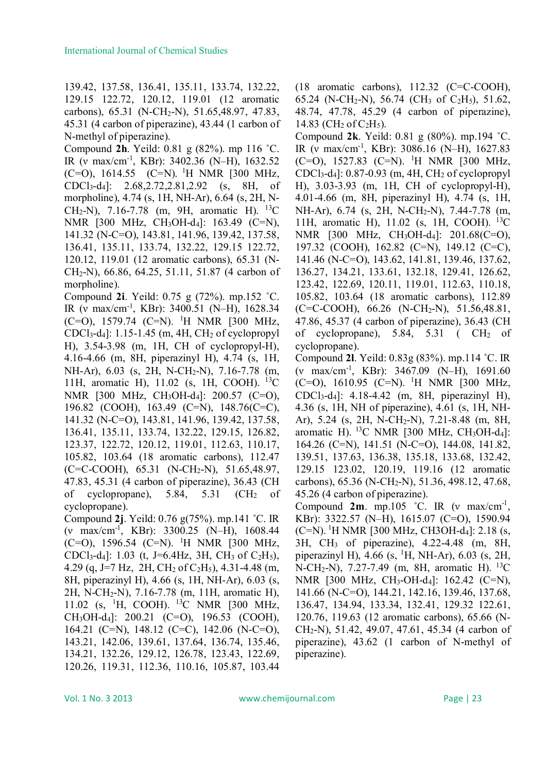139.42, 137.58, 136.41, 135.11, 133.74, 132.22, 129.15 122.72, 120.12, 119.01 (12 aromatic carbons), 65.31 (N-CH2-N), 51.65,48.97, 47.83, 45.31 (4 carbon of piperazine), 43.44 (1 carbon of N-methyl of piperazine).

Compound **2h**. Yeild: 0.81 g (82%). mp 116 ˚C. IR (ν max/cm-1 , KBr): 3402.36 (N–H), 1632.52 (C=O), 1614.55 (C=N). <sup>1</sup>H NMR [300 MHz, CDCl3-d4]: 2.68,2.72,2.81,2.92 (s, 8H, of morpholine), 4.74 (s, 1H, NH-Ar), 6.64 (s, 2H, N-CH<sub>2</sub>-N), 7.16-7.78 (m, 9H, aromatic H). <sup>13</sup>C NMR [300 MHz, CH<sub>3</sub>OH-d<sub>4</sub>]: 163.49 (C=N), 141.32 (N-C=O), 143.81, 141.96, 139.42, 137.58, 136.41, 135.11, 133.74, 132.22, 129.15 122.72, 120.12, 119.01 (12 aromatic carbons), 65.31 (N-CH2-N), 66.86, 64.25, 51.11, 51.87 (4 carbon of morpholine).

Compound **2i**. Yeild: 0.75 g (72%). mp.152 ˚C. IR (ν max/cm-1 , KBr): 3400.51 (N–H), 1628.34 (C=O), 1579.74 (C=N). <sup>1</sup>H NMR [300 MHz, CDCl<sub>3</sub>-d<sub>4</sub>]: 1.15-1.45 (m, 4H, CH<sub>2</sub> of cyclopropyl H), 3.54-3.98 (m, 1H, CH of cyclopropyl-H), 4.16-4.66 (m, 8H, piperazinyl H), 4.74 (s, 1H, NH-Ar), 6.03 (s, 2H, N-CH2-N), 7.16-7.78 (m, 11H, aromatic H), 11.02 (s, 1H, COOH). <sup>13</sup>C NMR [300 MHz, CH3OH-d4]: 200.57 (C=O), 196.82 (COOH), 163.49 (C=N), 148.76(C=C), 141.32 (N-C=O), 143.81, 141.96, 139.42, 137.58, 136.41, 135.11, 133.74, 132.22, 129.15, 126.82, 123.37, 122.72, 120.12, 119.01, 112.63, 110.17, 105.82, 103.64 (18 aromatic carbons), 112.47 (C=C-COOH), 65.31 (N-CH2-N), 51.65,48.97, 47.83, 45.31 (4 carbon of piperazine), 36.43 (CH of cyclopropane),  $5.84$ ,  $5.31$  (CH<sub>2</sub> of cyclopropane).

Compound **2j**. Yeild: 0.76 g(75%). mp.141 ˚C. IR (ν max/cm-1 , KBr): 3300.25 (N–H), 1608.44 (C=O), 1596.54 (C=N). <sup>1</sup>H NMR [300 MHz, CDCl<sub>3</sub>-d<sub>4</sub>]: 1.03 (t, J=6.4Hz, 3H, CH<sub>3</sub> of C<sub>2</sub>H<sub>5</sub>), 4.29 (q, J=7 Hz, 2H, CH<sub>2</sub> of C<sub>2</sub>H<sub>5</sub>), 4.31-4.48 (m, 8H, piperazinyl H), 4.66 (s, 1H, NH-Ar), 6.03 (s, 2H, N-CH2-N), 7.16-7.78 (m, 11H, aromatic H), 11.02 (s, <sup>1</sup>H, COOH). <sup>13</sup>C NMR [300 MHz, CH3OH-d4]: 200.21 (C=O), 196.53 (COOH), 164.21 (C=N), 148.12 (C=C), 142.06 (N-C=O), 143.21, 142.06, 139.61, 137.64, 136.74, 135.46, 134.21, 132.26, 129.12, 126.78, 123.43, 122.69, 120.26, 119.31, 112.36, 110.16, 105.87, 103.44

(18 aromatic carbons), 112.32 (C=C-COOH), 65.24 (N-CH<sub>2</sub>-N), 56.74 (CH<sub>3</sub> of C<sub>2</sub>H<sub>5</sub>), 51.62, 48.74, 47.78, 45.29 (4 carbon of piperazine), 14.83 (CH<sub>2</sub> of C<sub>2</sub>H<sub>5</sub>).

Compound **2k**. Yeild: 0.81 g (80%). mp.194 ˚C. IR (ν max/cm-1 , KBr): 3086.16 (N–H), 1627.83  $(C=O)$ , 1527.83  $(C=N)$ . <sup>1</sup>H NMR [300 MHz, CDCl<sub>3</sub>-d<sub>4</sub>]:  $0.87$ -0.93 (m, 4H, CH<sub>2</sub> of cyclopropyl H), 3.03-3.93 (m, 1H, CH of cyclopropyl-H), 4.01-4.66 (m, 8H, piperazinyl H), 4.74 (s, 1H, NH-Ar), 6.74 (s, 2H, N-CH2-N), 7.44-7.78 (m, 11H, aromatic H), 11.02 (s, 1H, COOH). <sup>13</sup>C NMR [300 MHz, CH3OH-d4]: 201.68(C=O), 197.32 (COOH), 162.82 (C=N), 149.12 (C=C), 141.46 (N-C=O), 143.62, 141.81, 139.46, 137.62, 136.27, 134.21, 133.61, 132.18, 129.41, 126.62, 123.42, 122.69, 120.11, 119.01, 112.63, 110.18, 105.82, 103.64 (18 aromatic carbons), 112.89 (C=C-COOH), 66.26 (N-CH2-N), 51.56,48.81, 47.86, 45.37 (4 carbon of piperazine), 36.43 (CH of cyclopropane),  $5.84$ ,  $5.31$  (CH<sub>2</sub> of cyclopropane).

Compound **2l**. Yeild: 0.83g (83%). mp.114 ˚C. IR (ν max/cm-1 , KBr): 3467.09 (N–H), 1691.60  $(C=O)$ , 1610.95  $(C=N)$ . <sup>1</sup>H NMR [300 MHz, CDCl3-d4]: 4.18-4.42 (m, 8H, piperazinyl H), 4.36 (s, 1H, NH of piperazine), 4.61 (s, 1H, NH-Ar), 5.24 (s, 2H, N-CH2-N), 7.21-8.48 (m, 8H, aromatic H).  $^{13}$ C NMR [300 MHz, CH<sub>3</sub>OH-d<sub>4</sub>]: 164.26 (C=N), 141.51 (N-C=O), 144.08, 141.82, 139.51, 137.63, 136.38, 135.18, 133.68, 132.42, 129.15 123.02, 120.19, 119.16 (12 aromatic carbons), 65.36 (N-CH2-N), 51.36, 498.12, 47.68, 45.26 (4 carbon of piperazine).

Compound **2m**. mp.105 ˚C. IR (ν max/cm-1 , KBr): 3322.57 (N–H), 1615.07 (C=O), 1590.94  $(C=N)$ . <sup>1</sup>H NMR [300 MHz, CH3OH-d<sub>4</sub>]: 2.18 (s, 3H, CH<sup>3</sup> of piperazine), 4.22-4.48 (m, 8H, piperazinyl H), 4.66 (s,  $^{1}$ H, NH-Ar), 6.03 (s, 2H, N-CH<sub>2</sub>-N), 7.27-7.49 (m, 8H, aromatic H). <sup>13</sup>C NMR [300 MHz, CH3-OH-d4]: 162.42 (C=N), 141.66 (N-C=O), 144.21, 142.16, 139.46, 137.68, 136.47, 134.94, 133.34, 132.41, 129.32 122.61, 120.76, 119.63 (12 aromatic carbons), 65.66 (N-CH2-N), 51.42, 49.07, 47.61, 45.34 (4 carbon of piperazine), 43.62 (1 carbon of N-methyl of piperazine).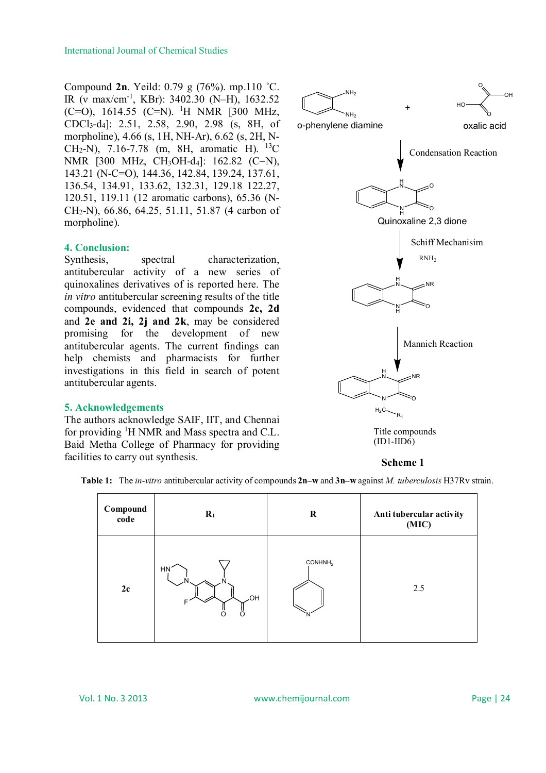Compound **2n**. Yeild: 0.79 g (76%). mp.110 ˚C. IR (v max/cm<sup>-1</sup>, KBr): 3402.30 (N-H), 1632.52  $(C=O)$ , 1614.55  $(C=N)$ . <sup>1</sup>H NMR [300 MHz, CDCl<sub>3</sub>-d<sub>4</sub>]: 2.51, 2.58, 2.90, 2.98 (s, 8H, of morpholine), 4.66 (s, 1H, NH-Ar), 6.62 (s, 2H, N-CH2-N), 7.16-7.78 (m, 8H, aromatic H). <sup>13</sup>C NMR [300 MHz, CH<sub>3</sub>OH-d<sub>4</sub>]: 162.82 (C=N), 143.21 (N-C=O), 144.36, 142.84, 139.24, 137.61, 136.54, 134.91, 133.62, 132.31, 129.18 122.27, 120.51, 119.11 (12 aromatic carbons), 65.36 (N-CH2-N), 66.86, 64.25, 51.11, 51.87 (4 carbon of morpholine).

#### **4. Conclusion:**

Synthesis, spectral characterization, antitubercular activity of a new series of quinoxalines derivatives of is reported here. The *in vitro* antitubercular screening results of the title compounds, evidenced that compounds **2c, 2d**  and **2e and 2i, 2j and 2k**, may be considered promising for the development of new antitubercular agents. The current findings can help chemists and pharmacists for further investigations in this field in search of potent antitubercular agents.

#### **5. Acknowledgements**

The authors acknowledge SAIF, IIT, and Chennai for providing <sup>1</sup>H NMR and Mass spectra and C.L. Baid Metha College of Pharmacy for providing facilities to carry out synthesis.





**Table 1:** The *in-vitro* antitubercular activity of compounds **2n–w** and **3n–w** against *M. tuberculosis* H37Rv strain.

| Compound<br>code | $\mathbf{R}_1$               | $\bf R$                  | Anti tubercular activity<br>(MIC) |
|------------------|------------------------------|--------------------------|-----------------------------------|
| 2c               | <b>HN</b><br><b>JOH</b><br>Ω | CONHNH <sub>2</sub><br>N | 2.5                               |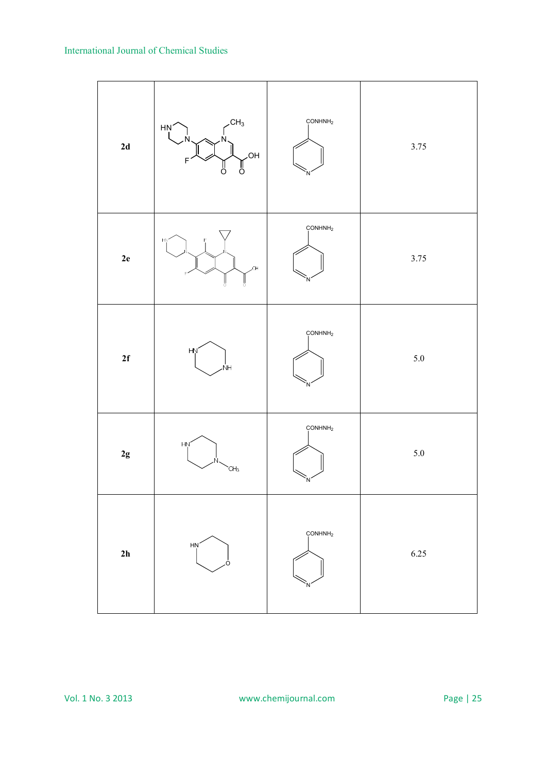| $2\mathbf{d}$ | CH <sub>3</sub><br>HN <sup>'</sup><br>N<br>HO.<br>$\mathsf F$<br>$\frac{1}{\alpha}$<br>ő | COMHNH <sub>2</sub> | 3.75    |
|---------------|------------------------------------------------------------------------------------------|---------------------|---------|
| ${\bf 2e}$    | HŅ.<br>Юk<br>ļ<br>å                                                                      | CONHNH <sub>2</sub> | 3.75    |
| 2f            | HŅ<br>.<br>NH                                                                            | COMHNH <sub>2</sub> | $5.0\,$ |
| $2\mathsf g$  | HŅ,<br>CH <sub>3</sub>                                                                   | CONHNH <sub>2</sub> | $5.0\,$ |
| $2h$          | HN<br>∩                                                                                  | CONHNH <sub>2</sub> | 6.25    |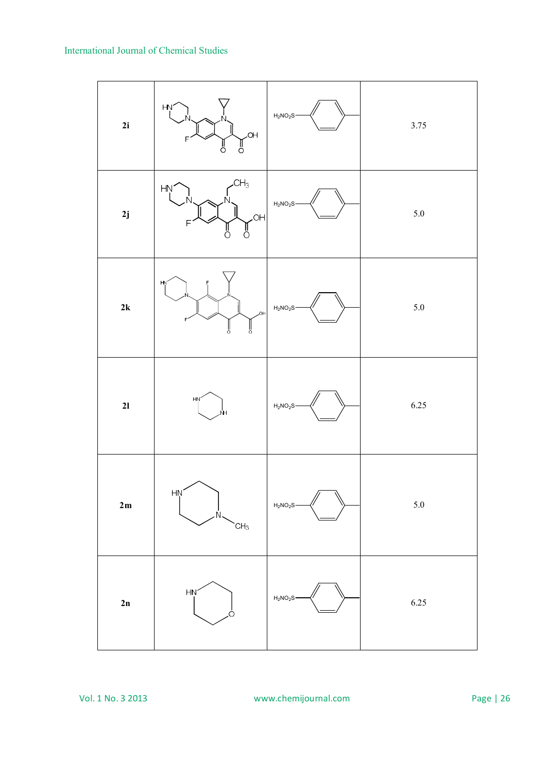| 2i              | HN <sup>2</sup><br>OH.<br>P<br>O<br>e<br>O | $H_2NO_2S$ | 3.75    |
|-----------------|--------------------------------------------|------------|---------|
| 2j              | CH <sub>3</sub><br>HŅ'<br>HO.<br>Ů<br>ő    | $H_2NO_2S$ | $5.0\,$ |
| $2{\bf k}$      | HŅ<br>Ń<br>,OH<br>ľ<br>ľ                   | $H_2NO_2S$ | $5.0\,$ |
| 21              | HŅ<br>ŃΗ                                   | $H_2NO_2S$ | 6.25    |
| $2\,\mathrm{m}$ | HŅ<br>Ň<br>CH <sub>3</sub>                 | $H_2NO_2S$ | $5.0\,$ |
| 2n              | HN<br>Ω                                    | $H_2NO_2S$ | 6.25    |